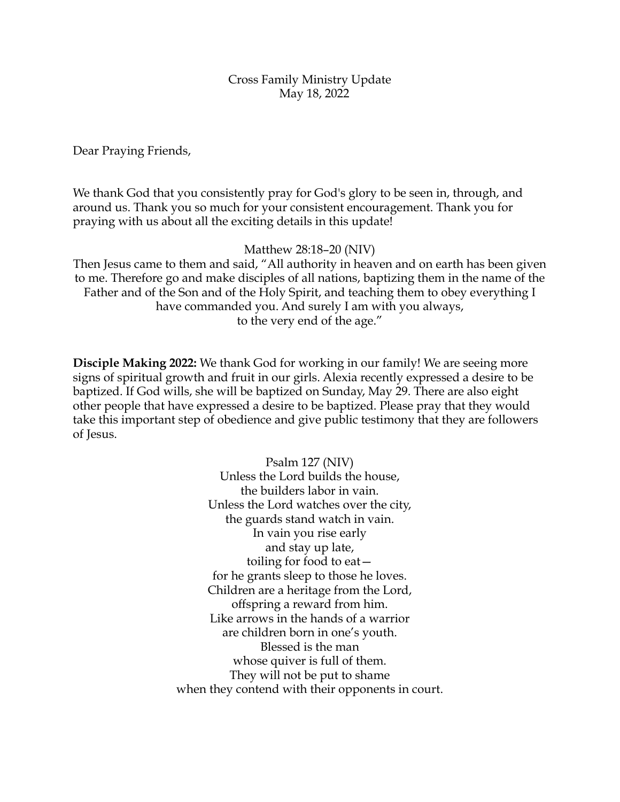Cross Family Ministry Update May 18, 2022

Dear Praying Friends,

We thank God that you consistently pray for God's glory to be seen in, through, and around us. Thank you so much for your consistent encouragement. Thank you for praying with us about all the exciting details in this update!

Matthew 28:18–20 (NIV)

Then Jesus came to them and said, "All authority in heaven and on earth has been given to me. Therefore go and make disciples of all nations, baptizing them in the name of the Father and of the Son and of the Holy Spirit, and teaching them to obey everything I have commanded you. And surely I am with you always, to the very end of the age."

**Disciple Making 2022:** We thank God for working in our family! We are seeing more signs of spiritual growth and fruit in our girls. Alexia recently expressed a desire to be baptized. If God wills, she will be baptized on Sunday, May 29. There are also eight other people that have expressed a desire to be baptized. Please pray that they would take this important step of obedience and give public testimony that they are followers of Jesus.

> Psalm 127 (NIV) Unless the Lord builds the house, the builders labor in vain. Unless the Lord watches over the city, the guards stand watch in vain. In vain you rise early and stay up late, toiling for food to eat for he grants sleep to those he loves. Children are a heritage from the Lord, offspring a reward from him. Like arrows in the hands of a warrior are children born in one's youth. Blessed is the man whose quiver is full of them. They will not be put to shame when they contend with their opponents in court.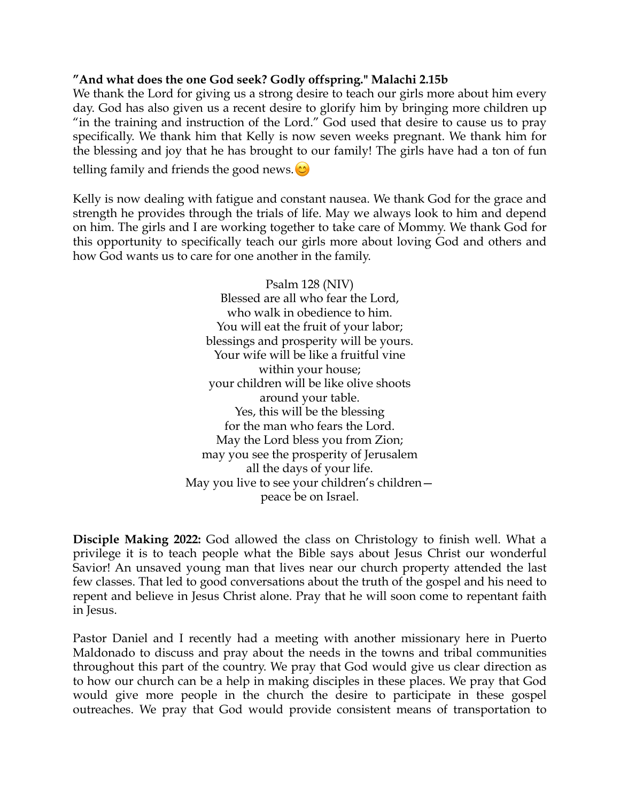## **"And what does the one God seek? Godly offspring." Malachi 2.15b**

We thank the Lord for giving us a strong desire to teach our girls more about him every day. God has also given us a recent desire to glorify him by bringing more children up "in the training and instruction of the Lord." God used that desire to cause us to pray specifically. We thank him that Kelly is now seven weeks pregnant. We thank him for the blessing and joy that he has brought to our family! The girls have had a ton of fun

telling family and friends the good news.  $\circledcirc$ 

Kelly is now dealing with fatigue and constant nausea. We thank God for the grace and strength he provides through the trials of life. May we always look to him and depend on him. The girls and I are working together to take care of Mommy. We thank God for this opportunity to specifically teach our girls more about loving God and others and how God wants us to care for one another in the family.

> Psalm 128 (NIV) Blessed are all who fear the Lord, who walk in obedience to him. You will eat the fruit of your labor; blessings and prosperity will be yours. Your wife will be like a fruitful vine within your house; your children will be like olive shoots around your table. Yes, this will be the blessing for the man who fears the Lord. May the Lord bless you from Zion; may you see the prosperity of Jerusalem all the days of your life. May you live to see your children's children peace be on Israel.

**Disciple Making 2022:** God allowed the class on Christology to finish well. What a privilege it is to teach people what the Bible says about Jesus Christ our wonderful Savior! An unsaved young man that lives near our church property attended the last few classes. That led to good conversations about the truth of the gospel and his need to repent and believe in Jesus Christ alone. Pray that he will soon come to repentant faith in Jesus.

Pastor Daniel and I recently had a meeting with another missionary here in Puerto Maldonado to discuss and pray about the needs in the towns and tribal communities throughout this part of the country. We pray that God would give us clear direction as to how our church can be a help in making disciples in these places. We pray that God would give more people in the church the desire to participate in these gospel outreaches. We pray that God would provide consistent means of transportation to